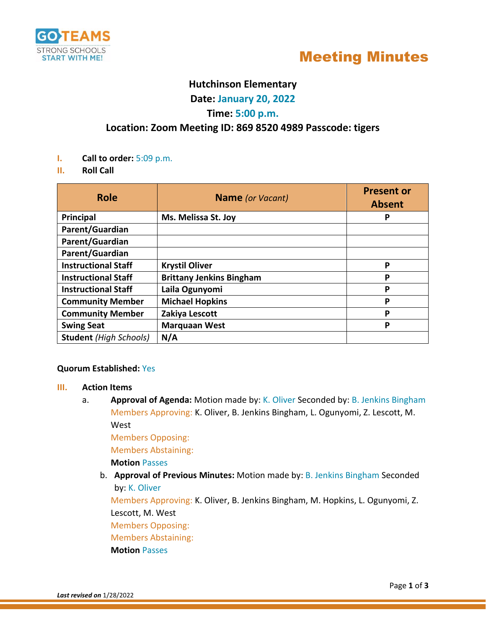



# **Hutchinson Elementary**

**Date: January 20, 2022**

## **Time: 5:00 p.m.**

# **Location: Zoom Meeting ID: 869 8520 4989 Passcode: tigers**

- **I. Call to order:** 5:09 p.m.
- **II. Roll Call**

| <b>Role</b>                   | <b>Name</b> (or Vacant)         | <b>Present or</b><br><b>Absent</b> |
|-------------------------------|---------------------------------|------------------------------------|
| <b>Principal</b>              | Ms. Melissa St. Joy             | P                                  |
| Parent/Guardian               |                                 |                                    |
| Parent/Guardian               |                                 |                                    |
| Parent/Guardian               |                                 |                                    |
| <b>Instructional Staff</b>    | <b>Krystil Oliver</b>           | P                                  |
| <b>Instructional Staff</b>    | <b>Brittany Jenkins Bingham</b> | P                                  |
| <b>Instructional Staff</b>    | Laila Ogunyomi                  | P                                  |
| <b>Community Member</b>       | <b>Michael Hopkins</b>          | P                                  |
| <b>Community Member</b>       | Zakiya Lescott                  | P                                  |
| <b>Swing Seat</b>             | <b>Marquaan West</b>            | P                                  |
| <b>Student</b> (High Schools) | N/A                             |                                    |

#### **Quorum Established:** Yes

#### **III. Action Items**

a. **Approval of Agenda:** Motion made by: K. Oliver Seconded by: B. Jenkins Bingham Members Approving: K. Oliver, B. Jenkins Bingham, L. Ogunyomi, Z. Lescott, M.

West

Members Opposing:

Members Abstaining:

**Motion** Passes

b. **Approval of Previous Minutes:** Motion made by: B. Jenkins Bingham Seconded by: K. Oliver

Members Approving: K. Oliver, B. Jenkins Bingham, M. Hopkins, L. Ogunyomi, Z. Lescott, M. West

Members Opposing:

Members Abstaining:

**Motion** Passes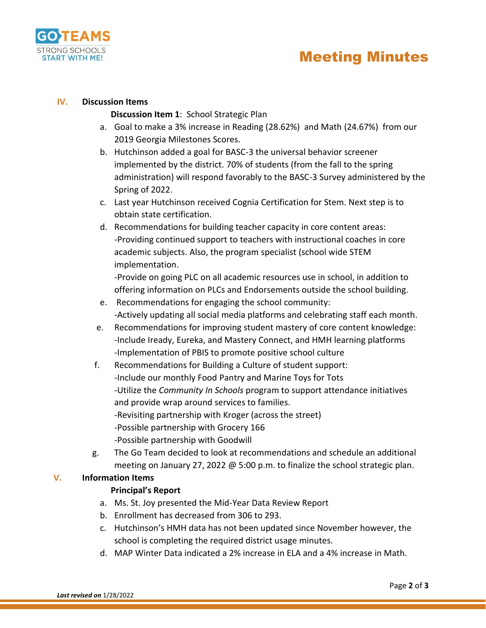

#### **IV. Discussion Items**

**Discussion Item 1**: School Strategic Plan

- a. Goal to make a 3% increase in Reading (28.62%) and Math (24.67%) from our 2019 Georgia Milestones Scores.
- b. Hutchinson added a goal for BASC-3 the universal behavior screener implemented by the district. 70% of students (from the fall to the spring administration) will respond favorably to the BASC-3 Survey administered by the Spring of 2022.
- c. Last year Hutchinson received Cognia Certification for Stem. Next step is to obtain state certification.
- d. Recommendations for building teacher capacity in core content areas: -Providing continued support to teachers with instructional coaches in core academic subjects. Also, the program specialist (school wide STEM implementation.

-Provide on going PLC on all academic resources use in school, in addition to offering information on PLCs and Endorsements outside the school building.

- e. Recommendations for engaging the school community: -Actively updating all social media platforms and celebrating staff each month.
- e. Recommendations for improving student mastery of core content knowledge: -Include Iready, Eureka, and Mastery Connect, and HMH learning platforms -Implementation of PBIS to promote positive school culture
- f. Recommendations for Building a Culture of student support: -Include our monthly Food Pantry and Marine Toys for Tots -Utilize the *Community In Schools* program to support attendance initiatives and provide wrap around services to families. -Revisiting partnership with Kroger (across the street) -Possible partnership with Grocery 166 -Possible partnership with Goodwill
- g. The Go Team decided to look at recommendations and schedule an additional meeting on January 27, 2022 @ 5:00 p.m. to finalize the school strategic plan.

## **V. Information Items**

## **Principal's Report**

- a. Ms. St. Joy presented the Mid-Year Data Review Report
- b. Enrollment has decreased from 306 to 293.
- c. Hutchinson's HMH data has not been updated since November however, the school is completing the required district usage minutes.
- d. MAP Winter Data indicated a 2% increase in ELA and a 4% increase in Math.